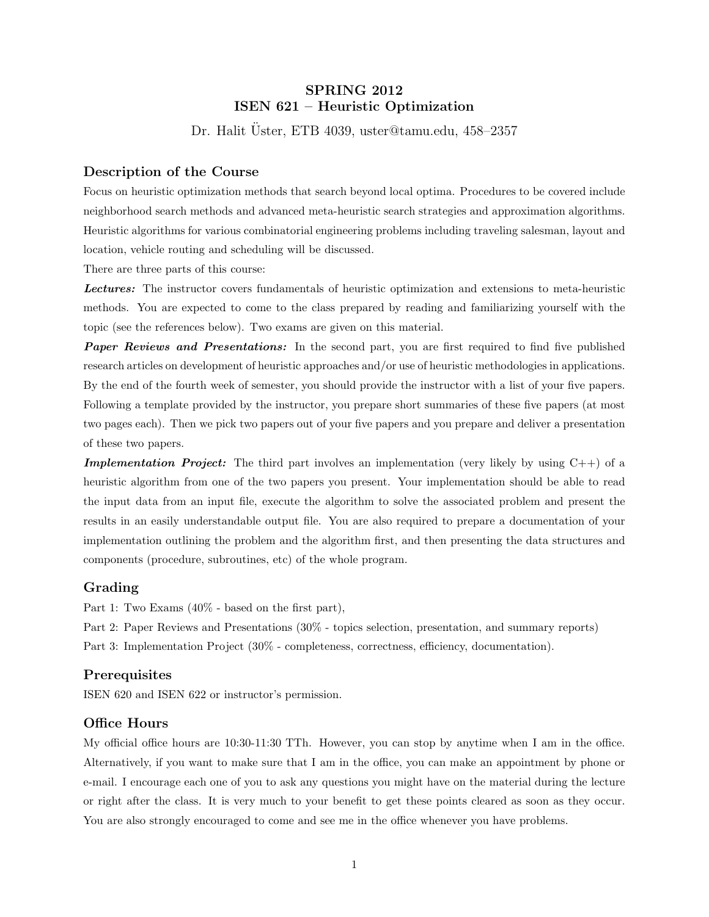# SPRING 2012 ISEN 621 – Heuristic Optimization

Dr. Halit Üster, ETB 4039, uster@tamu.edu, 458-2357

## Description of the Course

Focus on heuristic optimization methods that search beyond local optima. Procedures to be covered include neighborhood search methods and advanced meta-heuristic search strategies and approximation algorithms. Heuristic algorithms for various combinatorial engineering problems including traveling salesman, layout and location, vehicle routing and scheduling will be discussed.

There are three parts of this course:

Lectures: The instructor covers fundamentals of heuristic optimization and extensions to meta-heuristic methods. You are expected to come to the class prepared by reading and familiarizing yourself with the topic (see the references below). Two exams are given on this material.

**Paper Reviews and Presentations:** In the second part, you are first required to find five published research articles on development of heuristic approaches and/or use of heuristic methodologies in applications. By the end of the fourth week of semester, you should provide the instructor with a list of your five papers. Following a template provided by the instructor, you prepare short summaries of these five papers (at most two pages each). Then we pick two papers out of your five papers and you prepare and deliver a presentation of these two papers.

**Implementation Project:** The third part involves an implementation (very likely by using  $C++$ ) of a heuristic algorithm from one of the two papers you present. Your implementation should be able to read the input data from an input file, execute the algorithm to solve the associated problem and present the results in an easily understandable output file. You are also required to prepare a documentation of your implementation outlining the problem and the algorithm first, and then presenting the data structures and components (procedure, subroutines, etc) of the whole program.

#### Grading

Part 1: Two Exams (40% - based on the first part),

Part 2: Paper Reviews and Presentations (30% - topics selection, presentation, and summary reports)

Part 3: Implementation Project (30% - completeness, correctness, efficiency, documentation).

### **Prerequisites**

ISEN 620 and ISEN 622 or instructor's permission.

#### Office Hours

My official office hours are 10:30-11:30 TTh. However, you can stop by anytime when I am in the office. Alternatively, if you want to make sure that I am in the office, you can make an appointment by phone or e-mail. I encourage each one of you to ask any questions you might have on the material during the lecture or right after the class. It is very much to your benefit to get these points cleared as soon as they occur. You are also strongly encouraged to come and see me in the office whenever you have problems.